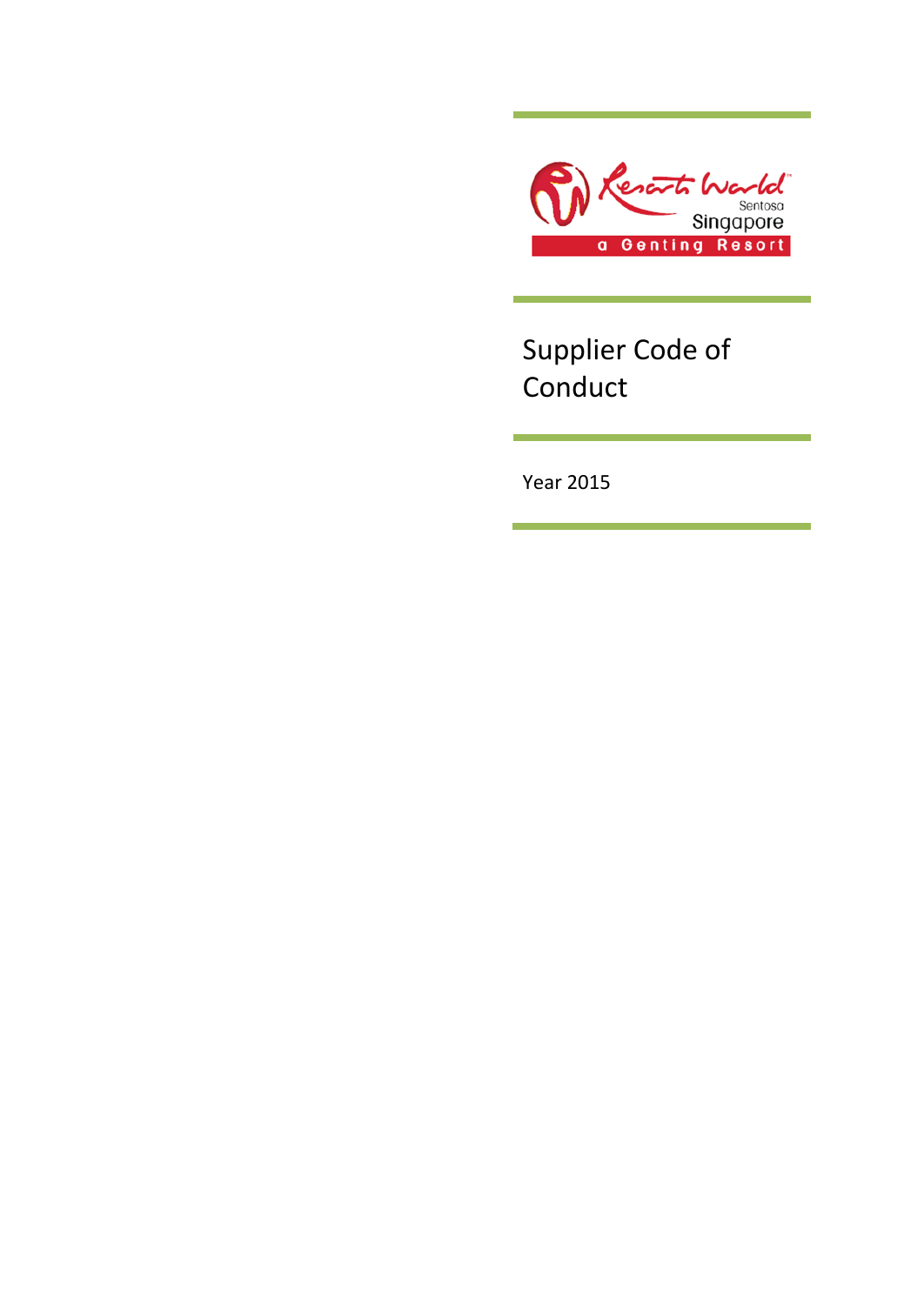

Supplier Code of Conduct

Year 2015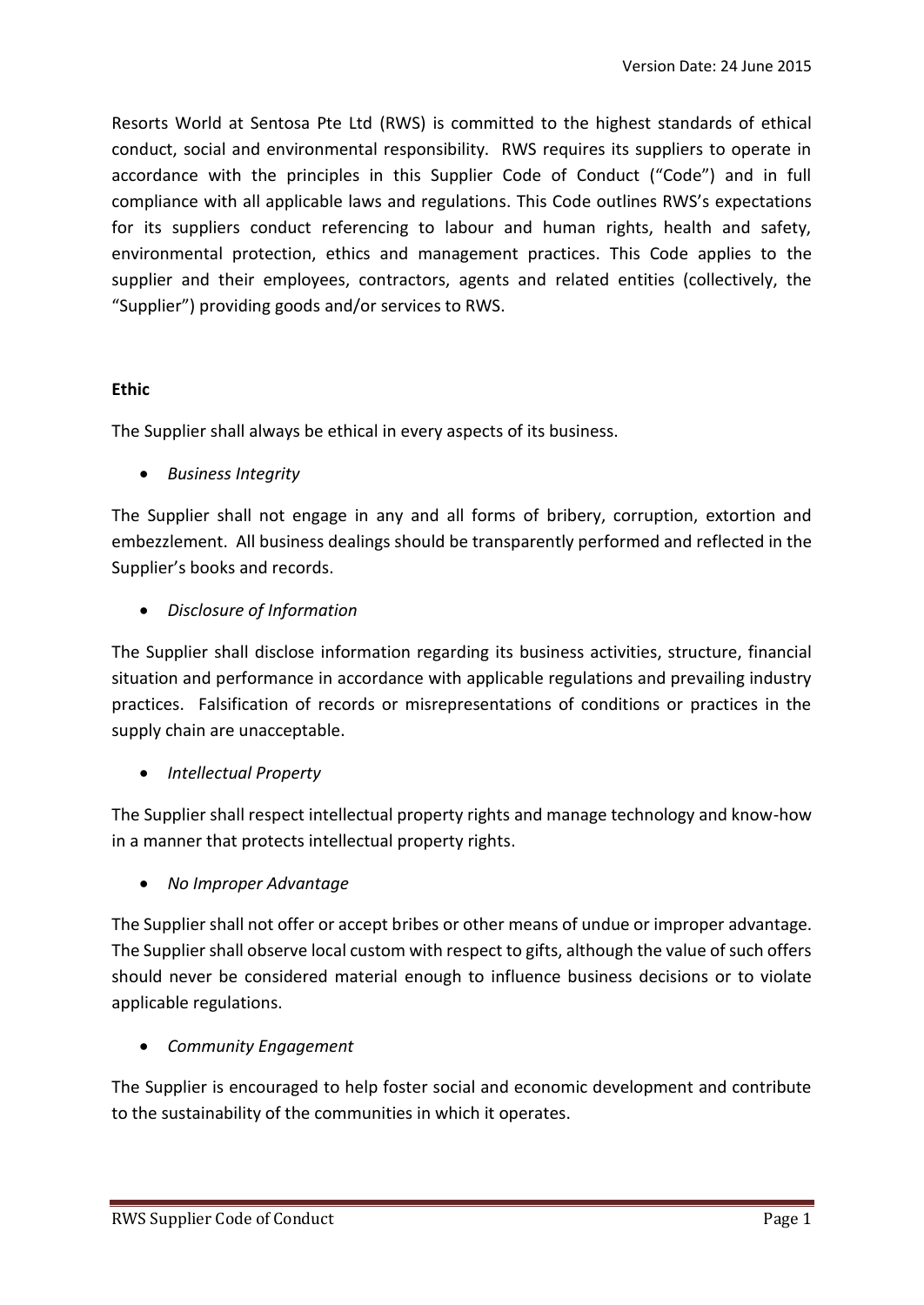Resorts World at Sentosa Pte Ltd (RWS) is committed to the highest standards of ethical conduct, social and environmental responsibility. RWS requires its suppliers to operate in accordance with the principles in this Supplier Code of Conduct ("Code") and in full compliance with all applicable laws and regulations. This Code outlines RWS's expectations for its suppliers conduct referencing to labour and human rights, health and safety, environmental protection, ethics and management practices. This Code applies to the supplier and their employees, contractors, agents and related entities (collectively, the "Supplier") providing goods and/or services to RWS.

#### **Ethic**

The Supplier shall always be ethical in every aspects of its business.

*Business Integrity*

The Supplier shall not engage in any and all forms of bribery, corruption, extortion and embezzlement. All business dealings should be transparently performed and reflected in the Supplier's books and records.

*Disclosure of Information*

The Supplier shall disclose information regarding its business activities, structure, financial situation and performance in accordance with applicable regulations and prevailing industry practices. Falsification of records or misrepresentations of conditions or practices in the supply chain are unacceptable.

*Intellectual Property*

The Supplier shall respect intellectual property rights and manage technology and know-how in a manner that protects intellectual property rights.

*No Improper Advantage*

The Supplier shall not offer or accept bribes or other means of undue or improper advantage. The Supplier shall observe local custom with respect to gifts, although the value of such offers should never be considered material enough to influence business decisions or to violate applicable regulations.

*Community Engagement*

The Supplier is encouraged to help foster social and economic development and contribute to the sustainability of the communities in which it operates.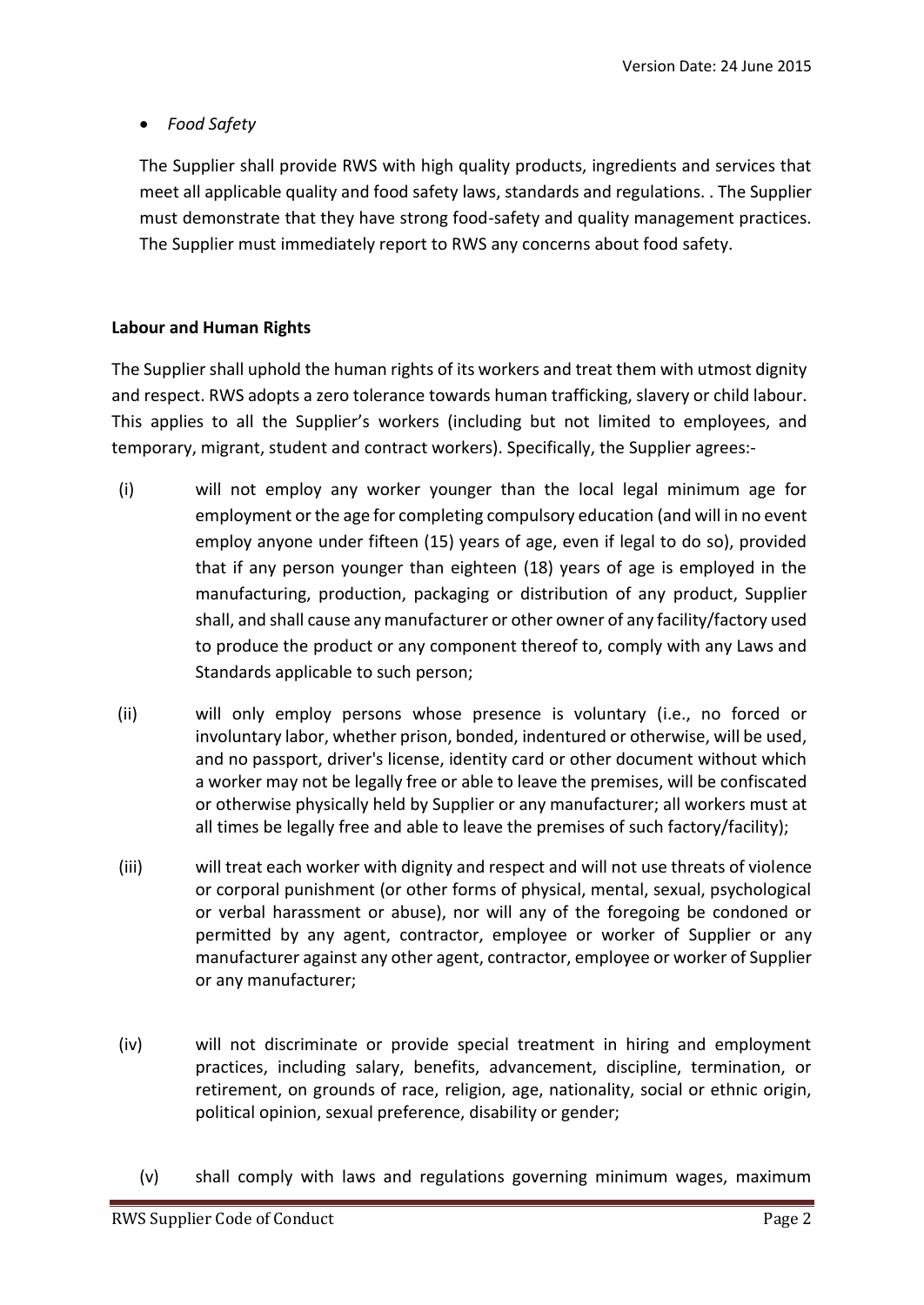*Food Safety*

The Supplier shall provide RWS with high quality products, ingredients and services that meet all applicable quality and food safety laws, standards and regulations. . The Supplier must demonstrate that they have strong food-safety and quality management practices. The Supplier must immediately report to RWS any concerns about food safety.

# **Labour and Human Rights**

The Supplier shall uphold the human rights of its workers and treat them with utmost dignity and respect. RWS adopts a zero tolerance towards human trafficking, slavery or child labour. This applies to all the Supplier's workers (including but not limited to employees, and temporary, migrant, student and contract workers). Specifically, the Supplier agrees:-

- (i) will not employ any worker younger than the local legal minimum age for employment or the age for completing compulsory education (and will in no event employ anyone under fifteen (15) years of age, even if legal to do so), provided that if any person younger than eighteen (18) years of age is employed in the manufacturing, production, packaging or distribution of any product, Supplier shall, and shall cause any manufacturer or other owner of any facility/factory used to produce the product or any component thereof to, comply with any Laws and Standards applicable to such person;
- (ii) will only employ persons whose presence is voluntary (i.e., no forced or involuntary labor, whether prison, bonded, indentured or otherwise, will be used, and no passport, driver's license, identity card or other document without which a worker may not be legally free or able to leave the premises, will be confiscated or otherwise physically held by Supplier or any manufacturer; all workers must at all times be legally free and able to leave the premises of such factory/facility);
- (iii) will treat each worker with dignity and respect and will not use threats of violence or corporal punishment (or other forms of physical, mental, sexual, psychological or verbal harassment or abuse), nor will any of the foregoing be condoned or permitted by any agent, contractor, employee or worker of Supplier or any manufacturer against any other agent, contractor, employee or worker of Supplier or any manufacturer;
- (iv) will not discriminate or provide special treatment in hiring and employment practices, including salary, benefits, advancement, discipline, termination, or retirement, on grounds of race, religion, age, nationality, social or ethnic origin, political opinion, sexual preference, disability or gender;
	- (v) shall comply with laws and regulations governing minimum wages, maximum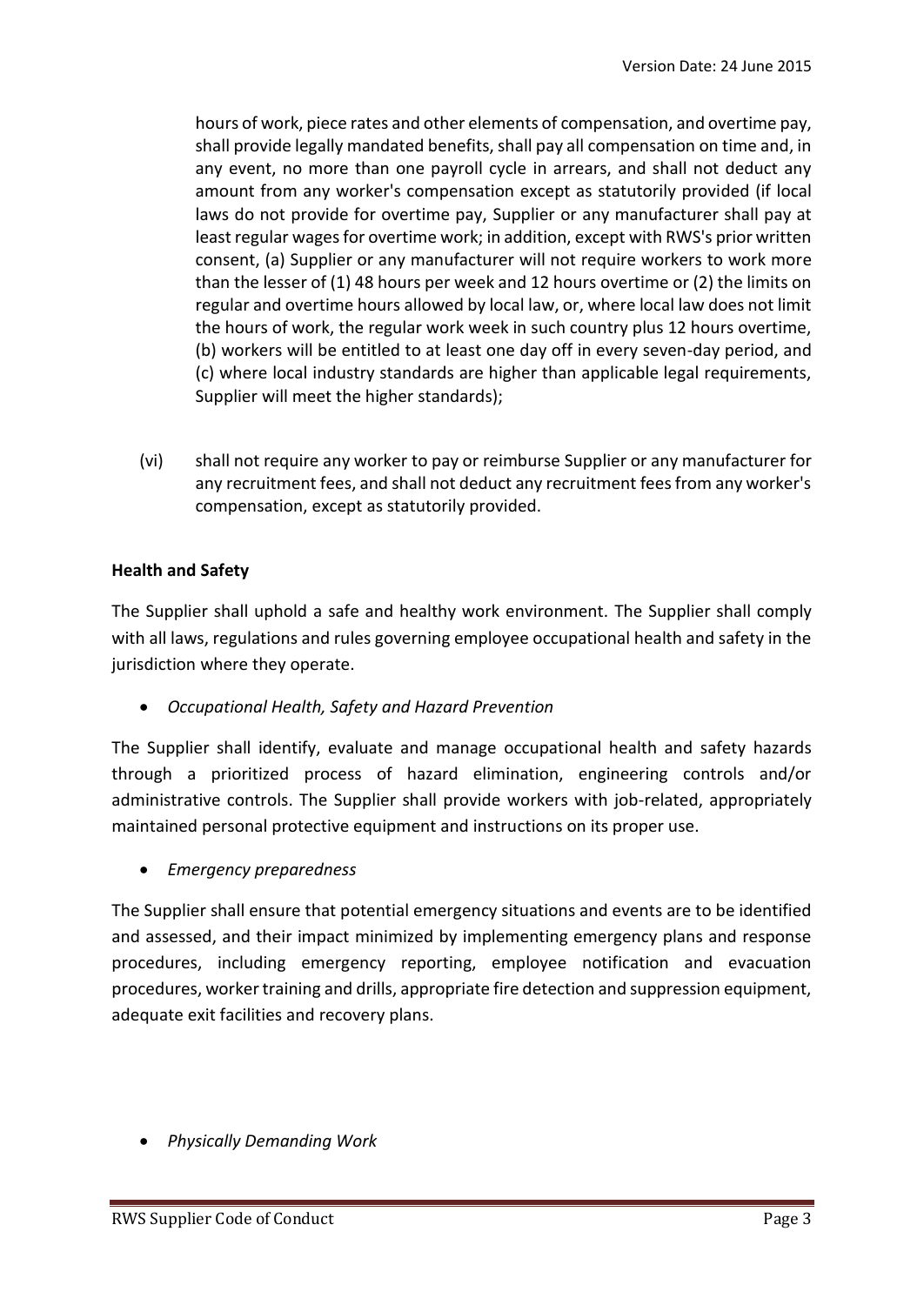hours of work, piece rates and other elements of compensation, and overtime pay, shall provide legally mandated benefits, shall pay all compensation on time and, in any event, no more than one payroll cycle in arrears, and shall not deduct any amount from any worker's compensation except as statutorily provided (if local laws do not provide for overtime pay, Supplier or any manufacturer shall pay at least regular wages for overtime work; in addition, except with RWS's prior written consent, (a) Supplier or any manufacturer will not require workers to work more than the lesser of (1) 48 hours per week and 12 hours overtime or (2) the limits on regular and overtime hours allowed by local law, or, where local law does not limit the hours of work, the regular work week in such country plus 12 hours overtime, (b) workers will be entitled to at least one day off in every seven-day period, and (c) where local industry standards are higher than applicable legal requirements, Supplier will meet the higher standards);

(vi) shall not require any worker to pay or reimburse Supplier or any manufacturer for any recruitment fees, and shall not deduct any recruitment fees from any worker's compensation, except as statutorily provided.

### **Health and Safety**

The Supplier shall uphold a safe and healthy work environment. The Supplier shall comply with all laws, regulations and rules governing employee occupational health and safety in the jurisdiction where they operate.

*Occupational Health, Safety and Hazard Prevention*

The Supplier shall identify, evaluate and manage occupational health and safety hazards through a prioritized process of hazard elimination, engineering controls and/or administrative controls. The Supplier shall provide workers with job-related, appropriately maintained personal protective equipment and instructions on its proper use.

*Emergency preparedness*

The Supplier shall ensure that potential emergency situations and events are to be identified and assessed, and their impact minimized by implementing emergency plans and response procedures, including emergency reporting, employee notification and evacuation procedures, worker training and drills, appropriate fire detection and suppression equipment, adequate exit facilities and recovery plans.

*Physically Demanding Work*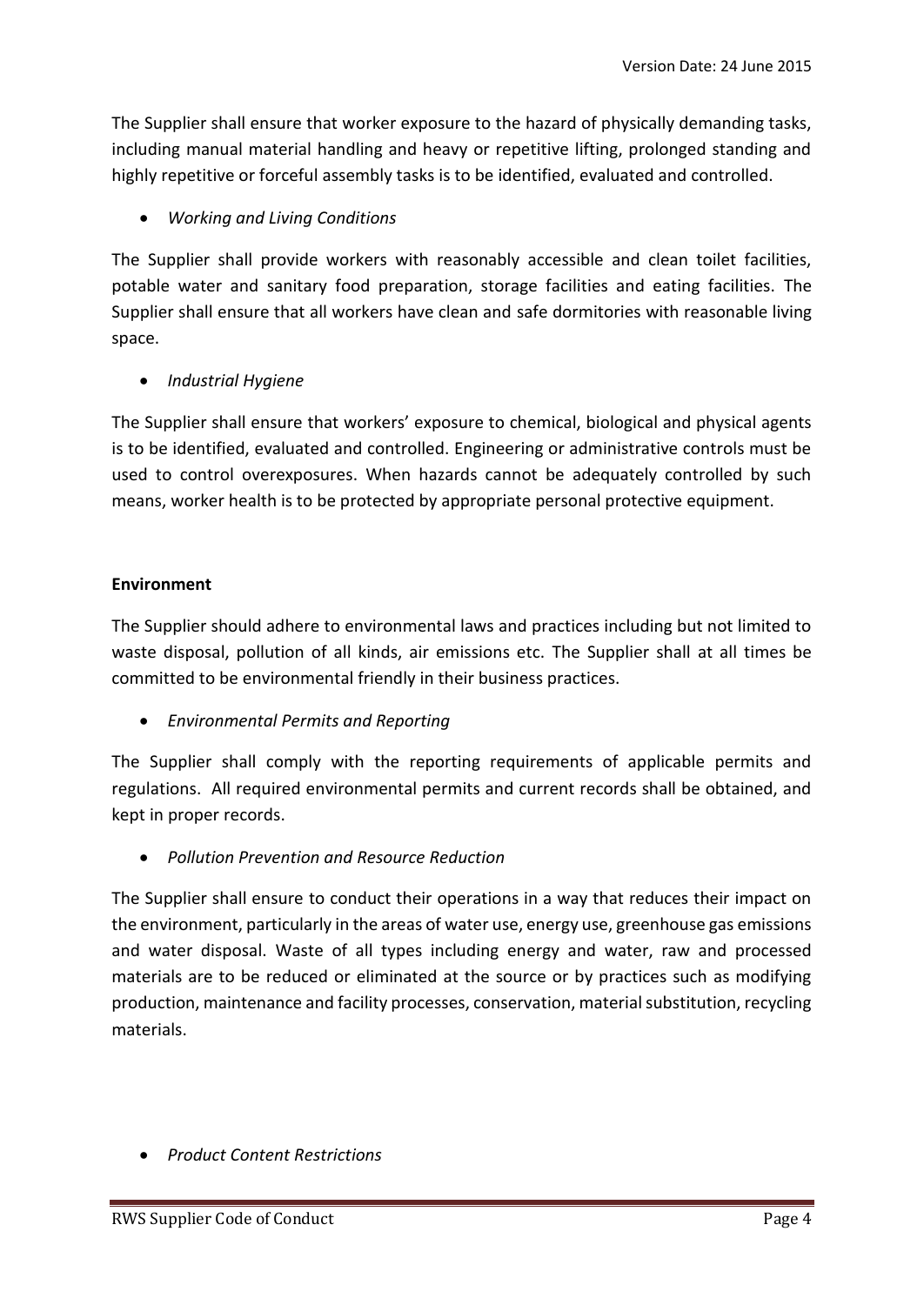The Supplier shall ensure that worker exposure to the hazard of physically demanding tasks, including manual material handling and heavy or repetitive lifting, prolonged standing and highly repetitive or forceful assembly tasks is to be identified, evaluated and controlled.

# *Working and Living Conditions*

The Supplier shall provide workers with reasonably accessible and clean toilet facilities, potable water and sanitary food preparation, storage facilities and eating facilities. The Supplier shall ensure that all workers have clean and safe dormitories with reasonable living space.

## *Industrial Hygiene*

The Supplier shall ensure that workers' exposure to chemical, biological and physical agents is to be identified, evaluated and controlled. Engineering or administrative controls must be used to control overexposures. When hazards cannot be adequately controlled by such means, worker health is to be protected by appropriate personal protective equipment.

### **Environment**

The Supplier should adhere to environmental laws and practices including but not limited to waste disposal, pollution of all kinds, air emissions etc. The Supplier shall at all times be committed to be environmental friendly in their business practices.

*Environmental Permits and Reporting*

The Supplier shall comply with the reporting requirements of applicable permits and regulations. All required environmental permits and current records shall be obtained, and kept in proper records.

*Pollution Prevention and Resource Reduction*

The Supplier shall ensure to conduct their operations in a way that reduces their impact on the environment, particularly in the areas of water use, energy use, greenhouse gas emissions and water disposal. Waste of all types including energy and water, raw and processed materials are to be reduced or eliminated at the source or by practices such as modifying production, maintenance and facility processes, conservation, material substitution, recycling materials.

*Product Content Restrictions*